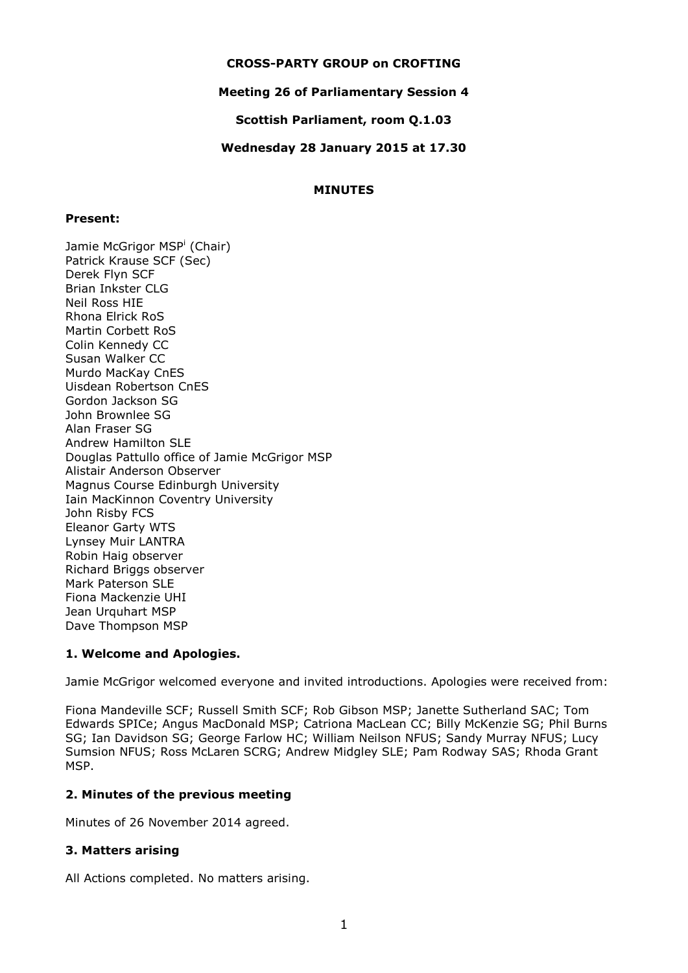## **CROSS-PARTY GROUP on CROFTING**

## **Meeting 26 of Parliamentary Session 4**

**Scottish Parliament, room Q.1.03**

## **Wednesday 28 January 2015 at 17.30**

### **MINUTES**

#### **Present:**

Jamie McGrigor MSP<sup>i</sup> (Chair) Patrick Krause SCF (Sec) Derek Flyn SCF Brian Inkster CLG Neil Ross HIE Rhona Elrick RoS Martin Corbett RoS Colin Kennedy CC Susan Walker CC Murdo MacKay CnES Uisdean Robertson CnES Gordon Jackson SG John Brownlee SG Alan Fraser SG Andrew Hamilton SLE Douglas Pattullo office of Jamie McGrigor MSP Alistair Anderson Observer Magnus Course Edinburgh University Iain MacKinnon Coventry University John Risby FCS Eleanor Garty WTS Lynsey Muir LANTRA Robin Haig observer Richard Briggs observer Mark Paterson SLE Fiona Mackenzie UHI Jean Urquhart MSP Dave Thompson MSP

# **1. Welcome and Apologies.**

Jamie McGrigor welcomed everyone and invited introductions. Apologies were received from:

Fiona Mandeville SCF; Russell Smith SCF; Rob Gibson MSP; Janette Sutherland SAC; Tom Edwards SPICe; Angus MacDonald MSP; Catriona MacLean CC; Billy McKenzie SG; Phil Burns SG; Ian Davidson SG; George Farlow HC; William Neilson NFUS; Sandy Murray NFUS; Lucy Sumsion NFUS; Ross McLaren SCRG; Andrew Midgley SLE; Pam Rodway SAS; Rhoda Grant MSP.

# **2. Minutes of the previous meeting**

Minutes of 26 November 2014 agreed.

### **3. Matters arising**

All Actions completed. No matters arising.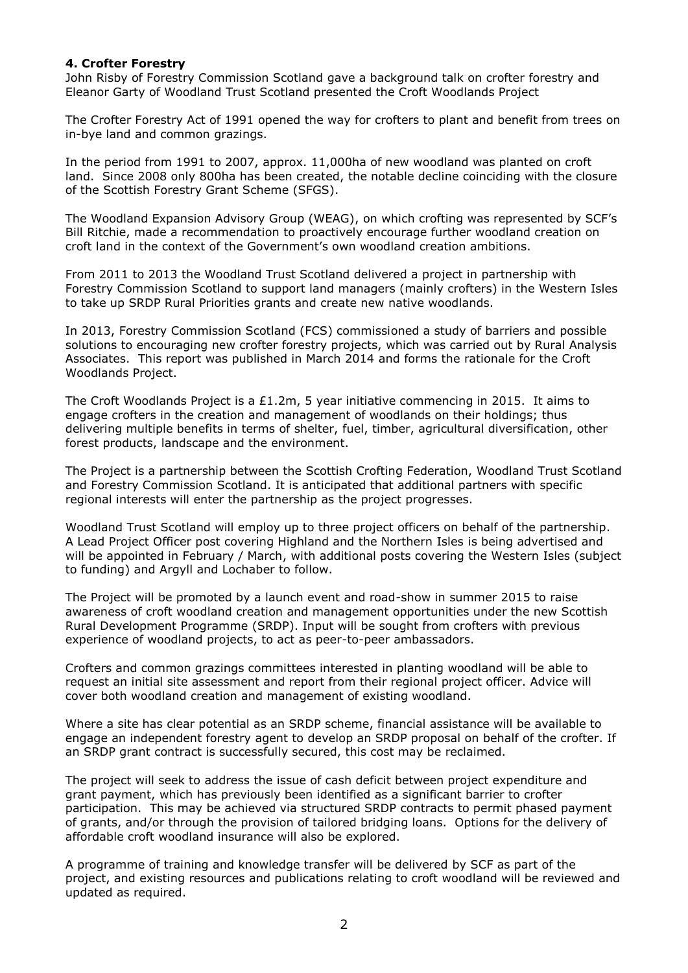### **4. Crofter Forestry**

John Risby of Forestry Commission Scotland gave a background talk on crofter forestry and Eleanor Garty of Woodland Trust Scotland presented the Croft Woodlands Project

The Crofter Forestry Act of 1991 opened the way for crofters to plant and benefit from trees on in-bye land and common grazings.

In the period from 1991 to 2007, approx. 11,000ha of new woodland was planted on croft land. Since 2008 only 800ha has been created, the notable decline coinciding with the closure of the Scottish Forestry Grant Scheme (SFGS).

The Woodland Expansion Advisory Group (WEAG), on which crofting was represented by SCF's Bill Ritchie, made a recommendation to proactively encourage further woodland creation on croft land in the context of the Government's own woodland creation ambitions.

From 2011 to 2013 the Woodland Trust Scotland delivered a project in partnership with Forestry Commission Scotland to support land managers (mainly crofters) in the Western Isles to take up SRDP Rural Priorities grants and create new native woodlands.

In 2013, Forestry Commission Scotland (FCS) commissioned a study of barriers and possible solutions to encouraging new crofter forestry projects, which was carried out by Rural Analysis Associates. This report was published in March 2014 and forms the rationale for the Croft Woodlands Project.

The Croft Woodlands Project is a £1.2m, 5 year initiative commencing in 2015. It aims to engage crofters in the creation and management of woodlands on their holdings; thus delivering multiple benefits in terms of shelter, fuel, timber, agricultural diversification, other forest products, landscape and the environment.

The Project is a partnership between the Scottish Crofting Federation, Woodland Trust Scotland and Forestry Commission Scotland. It is anticipated that additional partners with specific regional interests will enter the partnership as the project progresses.

Woodland Trust Scotland will employ up to three project officers on behalf of the partnership. A Lead Project Officer post covering Highland and the Northern Isles is being advertised and will be appointed in February / March, with additional posts covering the Western Isles (subject to funding) and Argyll and Lochaber to follow.

The Project will be promoted by a launch event and road-show in summer 2015 to raise awareness of croft woodland creation and management opportunities under the new Scottish Rural Development Programme (SRDP). Input will be sought from crofters with previous experience of woodland projects, to act as peer-to-peer ambassadors.

Crofters and common grazings committees interested in planting woodland will be able to request an initial site assessment and report from their regional project officer. Advice will cover both woodland creation and management of existing woodland.

Where a site has clear potential as an SRDP scheme, financial assistance will be available to engage an independent forestry agent to develop an SRDP proposal on behalf of the crofter. If an SRDP grant contract is successfully secured, this cost may be reclaimed.

The project will seek to address the issue of cash deficit between project expenditure and grant payment, which has previously been identified as a significant barrier to crofter participation. This may be achieved via structured SRDP contracts to permit phased payment of grants, and/or through the provision of tailored bridging loans. Options for the delivery of affordable croft woodland insurance will also be explored.

A programme of training and knowledge transfer will be delivered by SCF as part of the project, and existing resources and publications relating to croft woodland will be reviewed and updated as required.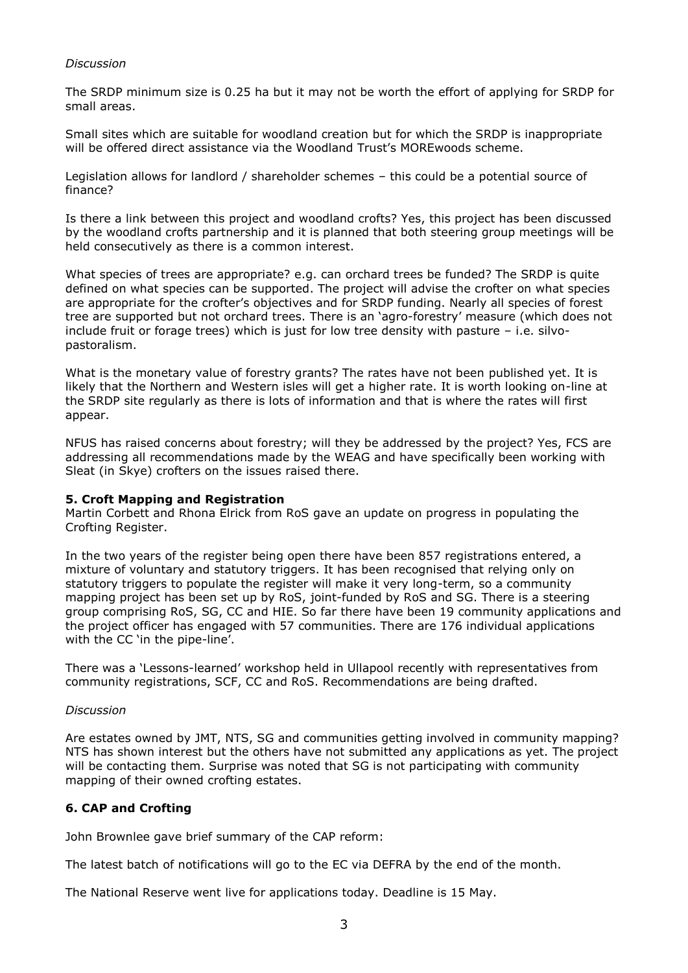### *Discussion*

The SRDP minimum size is 0.25 ha but it may not be worth the effort of applying for SRDP for small areas.

Small sites which are suitable for woodland creation but for which the SRDP is inappropriate will be offered direct assistance via the Woodland Trust's MOREwoods scheme.

Legislation allows for landlord / shareholder schemes – this could be a potential source of finance?

Is there a link between this project and woodland crofts? Yes, this project has been discussed by the woodland crofts partnership and it is planned that both steering group meetings will be held consecutively as there is a common interest.

What species of trees are appropriate? e.g. can orchard trees be funded? The SRDP is quite defined on what species can be supported. The project will advise the crofter on what species are appropriate for the crofter's objectives and for SRDP funding. Nearly all species of forest tree are supported but not orchard trees. There is an 'agro-forestry' measure (which does not include fruit or forage trees) which is just for low tree density with pasture – i.e. silvopastoralism.

What is the monetary value of forestry grants? The rates have not been published yet. It is likely that the Northern and Western isles will get a higher rate. It is worth looking on-line at the SRDP site regularly as there is lots of information and that is where the rates will first appear.

NFUS has raised concerns about forestry; will they be addressed by the project? Yes, FCS are addressing all recommendations made by the WEAG and have specifically been working with Sleat (in Skye) crofters on the issues raised there.

### **5. Croft Mapping and Registration**

Martin Corbett and Rhona Elrick from RoS gave an update on progress in populating the Crofting Register.

In the two years of the register being open there have been 857 registrations entered, a mixture of voluntary and statutory triggers. It has been recognised that relying only on statutory triggers to populate the register will make it very long-term, so a community mapping project has been set up by RoS, joint-funded by RoS and SG. There is a steering group comprising RoS, SG, CC and HIE. So far there have been 19 community applications and the project officer has engaged with 57 communities. There are 176 individual applications with the CC 'in the pipe-line'.

There was a 'Lessons-learned' workshop held in Ullapool recently with representatives from community registrations, SCF, CC and RoS. Recommendations are being drafted.

### *Discussion*

Are estates owned by JMT, NTS, SG and communities getting involved in community mapping? NTS has shown interest but the others have not submitted any applications as yet. The project will be contacting them. Surprise was noted that SG is not participating with community mapping of their owned crofting estates.

# **6. CAP and Crofting**

John Brownlee gave brief summary of the CAP reform:

The latest batch of notifications will go to the EC via DEFRA by the end of the month.

The National Reserve went live for applications today. Deadline is 15 May.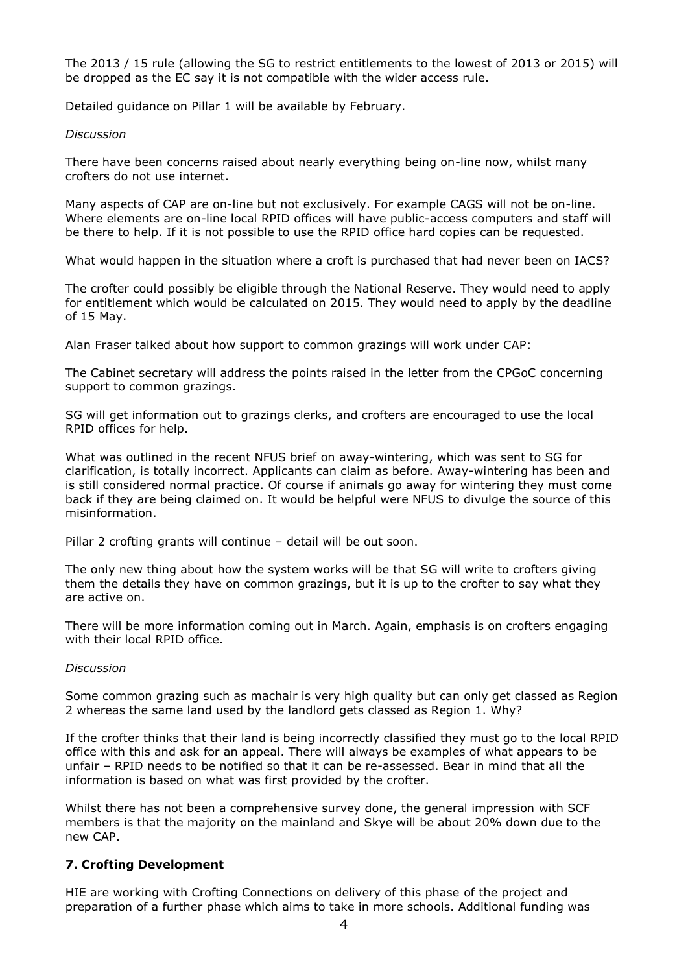The 2013 / 15 rule (allowing the SG to restrict entitlements to the lowest of 2013 or 2015) will be dropped as the EC say it is not compatible with the wider access rule.

Detailed guidance on Pillar 1 will be available by February.

#### *Discussion*

There have been concerns raised about nearly everything being on-line now, whilst many crofters do not use internet.

Many aspects of CAP are on-line but not exclusively. For example CAGS will not be on-line. Where elements are on-line local RPID offices will have public-access computers and staff will be there to help. If it is not possible to use the RPID office hard copies can be requested.

What would happen in the situation where a croft is purchased that had never been on IACS?

The crofter could possibly be eligible through the National Reserve. They would need to apply for entitlement which would be calculated on 2015. They would need to apply by the deadline of 15 May.

Alan Fraser talked about how support to common grazings will work under CAP:

The Cabinet secretary will address the points raised in the letter from the CPGoC concerning support to common grazings.

SG will get information out to grazings clerks, and crofters are encouraged to use the local RPID offices for help.

What was outlined in the recent NFUS brief on away-wintering, which was sent to SG for clarification, is totally incorrect. Applicants can claim as before. Away-wintering has been and is still considered normal practice. Of course if animals go away for wintering they must come back if they are being claimed on. It would be helpful were NFUS to divulge the source of this misinformation.

Pillar 2 crofting grants will continue – detail will be out soon.

The only new thing about how the system works will be that SG will write to crofters giving them the details they have on common grazings, but it is up to the crofter to say what they are active on.

There will be more information coming out in March. Again, emphasis is on crofters engaging with their local RPID office.

#### *Discussion*

Some common grazing such as machair is very high quality but can only get classed as Region 2 whereas the same land used by the landlord gets classed as Region 1. Why?

If the crofter thinks that their land is being incorrectly classified they must go to the local RPID office with this and ask for an appeal. There will always be examples of what appears to be unfair – RPID needs to be notified so that it can be re-assessed. Bear in mind that all the information is based on what was first provided by the crofter.

Whilst there has not been a comprehensive survey done, the general impression with SCF members is that the majority on the mainland and Skye will be about 20% down due to the new CAP.

### **7. Crofting Development**

HIE are working with Crofting Connections on delivery of this phase of the project and preparation of a further phase which aims to take in more schools. Additional funding was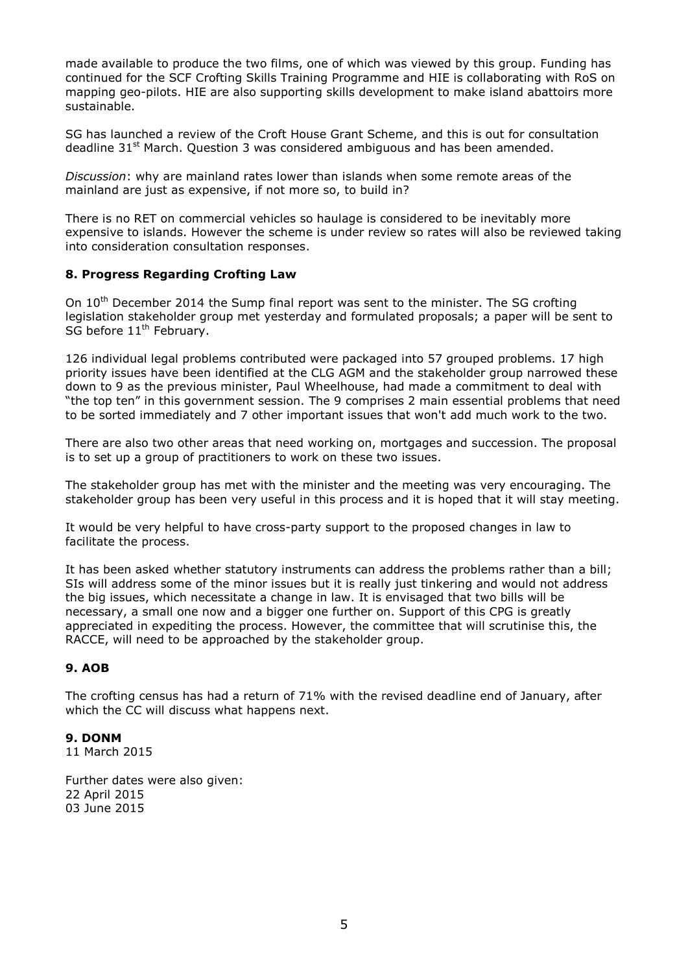made available to produce the two films, one of which was viewed by this group. Funding has continued for the SCF Crofting Skills Training Programme and HIE is collaborating with RoS on mapping geo-pilots. HIE are also supporting skills development to make island abattoirs more sustainable.

SG has launched a review of the Croft House Grant Scheme, and this is out for consultation deadline  $31^{st}$  March. Question 3 was considered ambiguous and has been amended.

*Discussion*: why are mainland rates lower than islands when some remote areas of the mainland are just as expensive, if not more so, to build in?

There is no RET on commercial vehicles so haulage is considered to be inevitably more expensive to islands. However the scheme is under review so rates will also be reviewed taking into consideration consultation responses.

## **8. Progress Regarding Crofting Law**

On  $10<sup>th</sup>$  December 2014 the Sump final report was sent to the minister. The SG crofting legislation stakeholder group met yesterday and formulated proposals; a paper will be sent to SG before 11<sup>th</sup> February.

126 individual legal problems contributed were packaged into 57 grouped problems. 17 high priority issues have been identified at the CLG AGM and the stakeholder group narrowed these down to 9 as the previous minister, Paul Wheelhouse, had made a commitment to deal with "the top ten" in this government session. The 9 comprises 2 main essential problems that need to be sorted immediately and 7 other important issues that won't add much work to the two.

There are also two other areas that need working on, mortgages and succession. The proposal is to set up a group of practitioners to work on these two issues.

The stakeholder group has met with the minister and the meeting was very encouraging. The stakeholder group has been very useful in this process and it is hoped that it will stay meeting.

It would be very helpful to have cross-party support to the proposed changes in law to facilitate the process.

It has been asked whether statutory instruments can address the problems rather than a bill; SIs will address some of the minor issues but it is really just tinkering and would not address the big issues, which necessitate a change in law. It is envisaged that two bills will be necessary, a small one now and a bigger one further on. Support of this CPG is greatly appreciated in expediting the process. However, the committee that will scrutinise this, the RACCE, will need to be approached by the stakeholder group.

# **9. AOB**

The crofting census has had a return of 71% with the revised deadline end of January, after which the CC will discuss what happens next.

### **9. DONM**

11 March 2015

Further dates were also given: 22 April 2015 03 June 2015